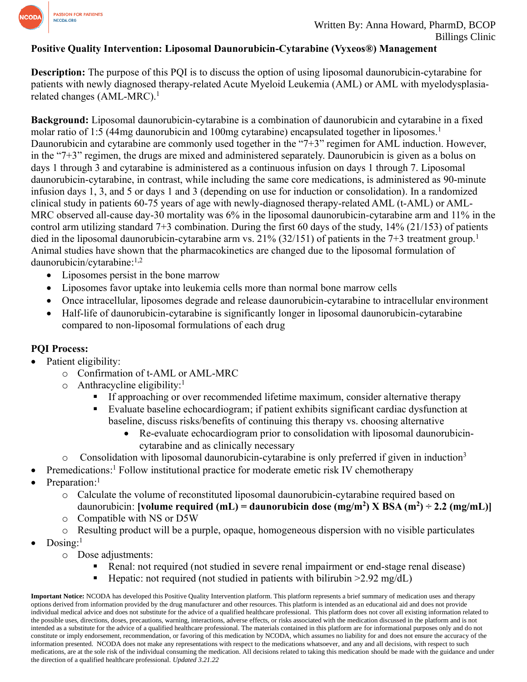

#### **Positive Quality Intervention: Liposomal Daunorubicin-Cytarabine (Vyxeos®) Management**

**Description:** The purpose of this PQI is to discuss the option of using liposomal daunorubicin-cytarabine for patients with newly diagnosed therapy-related Acute Myeloid Leukemia (AML) or AML with myelodysplasiarelated changes (AML-MRC). 1

**Background:** Liposomal daunorubicin-cytarabine is a combination of daunorubicin and cytarabine in a fixed molar ratio of 1:5 (44mg daunorubicin and 100mg cytarabine) encapsulated together in liposomes.<sup>1</sup> Daunorubicin and cytarabine are commonly used together in the "7+3" regimen for AML induction. However, in the "7+3" regimen, the drugs are mixed and administered separately. Daunorubicin is given as a bolus on days 1 through 3 and cytarabine is administered as a continuous infusion on days 1 through 7. Liposomal daunorubicin-cytarabine, in contrast, while including the same core medications, is administered as 90-minute infusion days 1, 3, and 5 or days 1 and 3 (depending on use for induction or consolidation). In a randomized clinical study in patients 60-75 years of age with newly-diagnosed therapy-related AML (t-AML) or AML-MRC observed all-cause day-30 mortality was 6% in the liposomal daunorubicin-cytarabine arm and 11% in the control arm utilizing standard 7+3 combination. During the first 60 days of the study, 14% (21/153) of patients died in the liposomal daunorubicin-cytarabine arm vs. 21% (32/151) of patients in the 7+3 treatment group.<sup>1</sup> Animal studies have shown that the pharmacokinetics are changed due to the liposomal formulation of daunorubicin/cytarabine: 1,2

- Liposomes persist in the bone marrow
- Liposomes favor uptake into leukemia cells more than normal bone marrow cells
- Once intracellular, liposomes degrade and release daunorubicin-cytarabine to intracellular environment
- Half-life of daunorubicin-cytarabine is significantly longer in liposomal daunorubicin-cytarabine compared to non-liposomal formulations of each drug

### **PQI Process:**

- Patient eligibility:
	- o Confirmation of t-AML or AML-MRC
	- o Anthracycline eligibility:<sup>1</sup>
		- **EXECUTE:** If approaching or over recommended lifetime maximum, consider alternative therapy
		- Evaluate baseline echocardiogram; if patient exhibits significant cardiac dysfunction at baseline, discuss risks/benefits of continuing this therapy vs. choosing alternative
			- Re-evaluate echocardiogram prior to consolidation with liposomal daunorubicincytarabine and as clinically necessary
	- $\circ$  Consolidation with liposomal daunorubicin-cytarabine is only preferred if given in induction<sup>3</sup>
- Premedications:<sup>1</sup> Follow institutional practice for moderate emetic risk IV chemotherapy
- Preparation:<sup>1</sup>
	- o Calculate the volume of reconstituted liposomal daunorubicin-cytarabine required based on daunorubicin: **[volume required (mL) = daunorubicin dose (mg/m<sup>2</sup>) X BSA (m<sup>2</sup>) ÷ 2.2 (mg/mL)]**
	- o Compatible with NS or D5W
	- o Resulting product will be a purple, opaque, homogeneous dispersion with no visible particulates
- $\bullet$  Dosing:<sup>1</sup>
	- o Dose adjustments:
		- Renal: not required (not studied in severe renal impairment or end-stage renal disease)
		- **EXECUTE:** Hepatic: not required (not studied in patients with bilirubin  $>2.92$  mg/dL)

**Important Notice:** NCODA has developed this Positive Quality Intervention platform. This platform represents a brief summary of medication uses and therapy options derived from information provided by the drug manufacturer and other resources. This platform is intended as an educational aid and does not provide individual medical advice and does not substitute for the advice of a qualified healthcare professional. This platform does not cover all existing information related to the possible uses, directions, doses, precautions, warning, interactions, adverse effects, or risks associated with the medication discussed in the platform and is not intended as a substitute for the advice of a qualified healthcare professional. The materials contained in this platform are for informational purposes only and do not constitute or imply endorsement, recommendation, or favoring of this medication by NCODA, which assumes no liability for and does not ensure the accuracy of the information presented. NCODA does not make any representations with respect to the medications whatsoever, and any and all decisions, with respect to such medications, are at the sole risk of the individual consuming the medication. All decisions related to taking this medication should be made with the guidance and under the direction of a qualified healthcare professional. *Updated 3.21.22*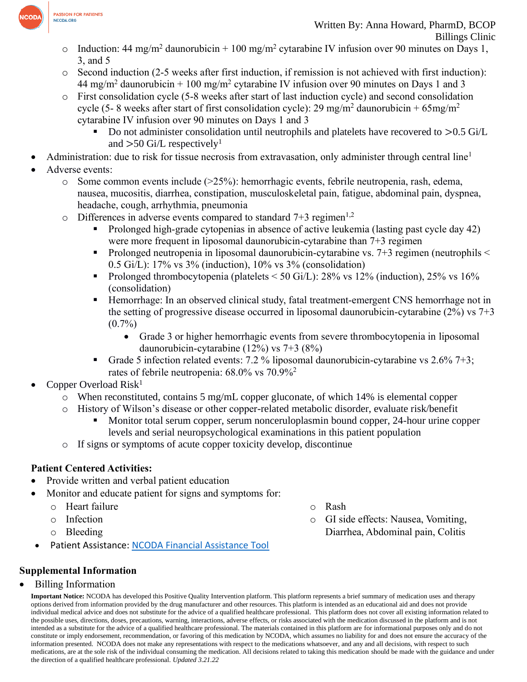

- o Induction: 44 mg/m<sup>2</sup> daunorubicin + 100 mg/m<sup>2</sup> cytarabine IV infusion over 90 minutes on Days 1, 3, and 5
- o Second induction (2-5 weeks after first induction, if remission is not achieved with first induction): 44 mg/m<sup>2</sup> daunorubicin + 100 mg/m<sup>2</sup> cytarabine IV infusion over 90 minutes on Days 1 and 3
- o First consolidation cycle (5-8 weeks after start of last induction cycle) and second consolidation cycle (5- 8 weeks after start of first consolidation cycle): 29 mg/m<sup>2</sup> daunorubicin + 65mg/m<sup>2</sup> cytarabine IV infusion over 90 minutes on Days 1 and 3
	- Do not administer consolidation until neutrophils and platelets have recovered to  $>0.5$  Gi/L and  $>50$  Gi/L respectively<sup>1</sup>
- Administration: due to risk for tissue necrosis from extravasation, only administer through central line<sup>1</sup>
- Adverse events:
	- $\circ$  Some common events include ( $>25\%$ ): hemorrhagic events, febrile neutropenia, rash, edema, nausea, mucositis, diarrhea, constipation, musculoskeletal pain, fatigue, abdominal pain, dyspnea, headache, cough, arrhythmia, pneumonia
	- $\circ$  Differences in adverse events compared to standard 7+3 regimen<sup>1,2</sup>
		- Prolonged high-grade cytopenias in absence of active leukemia (lasting past cycle day 42) were more frequent in liposomal daunorubicin-cytarabine than 7+3 regimen
		- Prolonged neutropenia in liposomal daunorubicin-cytarabine vs.  $7+3$  regimen (neutrophils  $\leq$ 0.5 Gi/L): 17% vs 3% (induction), 10% vs 3% (consolidation)
		- Prolonged thrombocytopenia (platelets  $\leq$  50 Gi/L): 28% vs 12% (induction), 25% vs 16% (consolidation)
		- Hemorrhage: In an observed clinical study, fatal treatment-emergent CNS hemorrhage not in the setting of progressive disease occurred in liposomal daunorubicin-cytarabine  $(2\%)$  vs  $7+3$  $(0.7\%)$ 
			- Grade 3 or higher hemorrhagic events from severe thrombocytopenia in liposomal daunorubicin-cytarabine (12%) vs 7+3 (8%)
		- **•** Grade 5 infection related events: 7.2 % liposomal daunorubicin-cytarabine vs 2.6% 7+3; rates of febrile neutropenia: 68.0% vs 70.9%<sup>2</sup>
- Copper Overload  $Risk<sup>1</sup>$ 
	- $\circ$  When reconstituted, contains 5 mg/mL copper gluconate, of which 14% is elemental copper
		- History of Wilson's disease or other copper-related metabolic disorder, evaluate risk/benefit
			- Monitor total serum copper, serum nonceruloplasmin bound copper, 24-hour urine copper levels and serial neuropsychological examinations in this patient population
	- o If signs or symptoms of acute copper toxicity develop, discontinue

# **Patient Centered Activities:**

- Provide written and verbal patient education
- Monitor and educate patient for signs and symptoms for:
	- o Heart failure
	- o Infection
	- o Bleeding
	- Patient Assistance: [NCODA Financial Assistance Tool](https://www.ncoda.org/financial-assistance/)

# **Supplemental Information**

## • Billing Information

**Important Notice:** NCODA has developed this Positive Quality Intervention platform. This platform represents a brief summary of medication uses and therapy options derived from information provided by the drug manufacturer and other resources. This platform is intended as an educational aid and does not provide individual medical advice and does not substitute for the advice of a qualified healthcare professional. This platform does not cover all existing information related to the possible uses, directions, doses, precautions, warning, interactions, adverse effects, or risks associated with the medication discussed in the platform and is not intended as a substitute for the advice of a qualified healthcare professional. The materials contained in this platform are for informational purposes only and do not constitute or imply endorsement, recommendation, or favoring of this medication by NCODA, which assumes no liability for and does not ensure the accuracy of the information presented. NCODA does not make any representations with respect to the medications whatsoever, and any and all decisions, with respect to such medications, are at the sole risk of the individual consuming the medication. All decisions related to taking this medication should be made with the guidance and under the direction of a qualified healthcare professional. *Updated 3.21.22*

- o Rash
- o GI side effects: Nausea, Vomiting, Diarrhea, Abdominal pain, Colitis